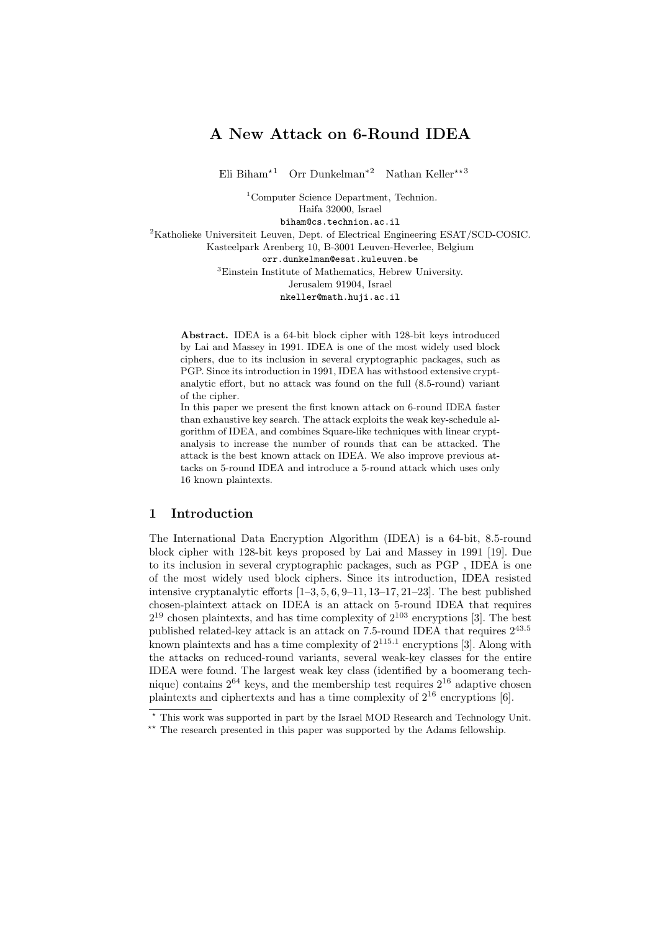# A New Attack on 6-Round IDEA

Eli Biham<sup>\*1</sup> Orr Dunkelman<sup>\*2</sup> Nathan Keller<sup>\*\*3</sup>

<sup>1</sup>Computer Science Department, Technion. Haifa 32000, Israel biham@cs.technion.ac.il <sup>2</sup>Katholieke Universiteit Leuven, Dept. of Electrical Engineering ESAT/SCD-COSIC.

Kasteelpark Arenberg 10, B-3001 Leuven-Heverlee, Belgium orr.dunkelman@esat.kuleuven.be <sup>3</sup>Einstein Institute of Mathematics, Hebrew University. Jerusalem 91904, Israel nkeller@math.huji.ac.il

Abstract. IDEA is a 64-bit block cipher with 128-bit keys introduced by Lai and Massey in 1991. IDEA is one of the most widely used block ciphers, due to its inclusion in several cryptographic packages, such as PGP. Since its introduction in 1991, IDEA has withstood extensive cryptanalytic effort, but no attack was found on the full (8.5-round) variant of the cipher.

In this paper we present the first known attack on 6-round IDEA faster than exhaustive key search. The attack exploits the weak key-schedule algorithm of IDEA, and combines Square-like techniques with linear cryptanalysis to increase the number of rounds that can be attacked. The attack is the best known attack on IDEA. We also improve previous attacks on 5-round IDEA and introduce a 5-round attack which uses only 16 known plaintexts.

## 1 Introduction

The International Data Encryption Algorithm (IDEA) is a 64-bit, 8.5-round block cipher with 128-bit keys proposed by Lai and Massey in 1991 [19]. Due to its inclusion in several cryptographic packages, such as PGP , IDEA is one of the most widely used block ciphers. Since its introduction, IDEA resisted intensive cryptanalytic efforts [1–3, 5, 6, 9–11, 13–17, 21–23]. The best published chosen-plaintext attack on IDEA is an attack on 5-round IDEA that requires  $2^{19}$  chosen plaintexts, and has time complexity of  $2^{103}$  encryptions [3]. The best published related-key attack is an attack on 7.5-round IDEA that requires  $2^{43.5}$ known plaintexts and has a time complexity of  $2^{115.1}$  encryptions [3]. Along with the attacks on reduced-round variants, several weak-key classes for the entire IDEA were found. The largest weak key class (identified by a boomerang technique) contains  $2^{64}$  keys, and the membership test requires  $2^{16}$  adaptive chosen plaintexts and ciphertexts and has a time complexity of 2<sup>16</sup> encryptions [6].

<sup>?</sup> This work was supported in part by the Israel MOD Research and Technology Unit.

<sup>\*\*</sup> The research presented in this paper was supported by the Adams fellowship.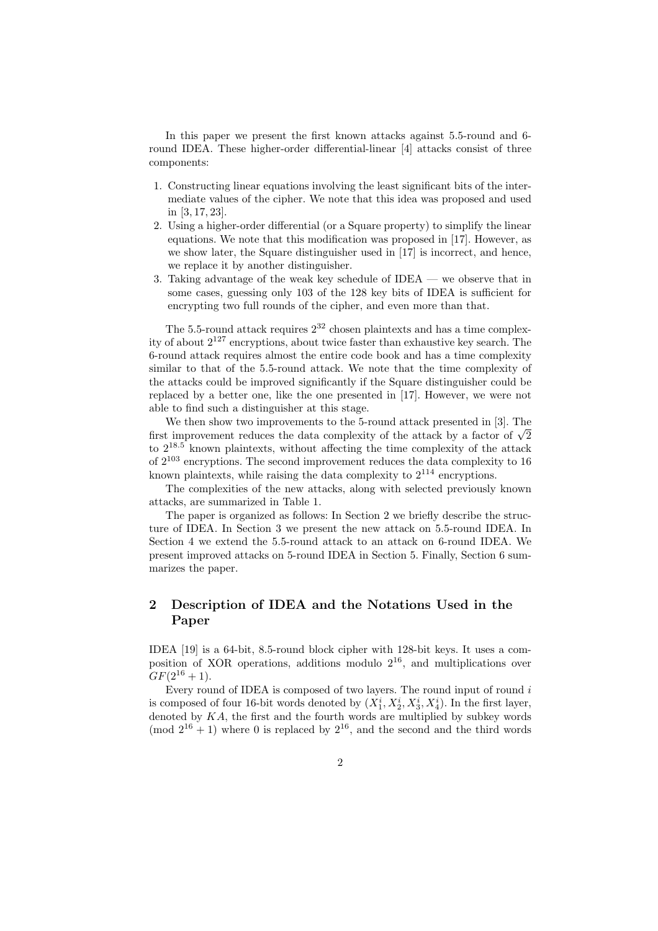In this paper we present the first known attacks against 5.5-round and 6 round IDEA. These higher-order differential-linear [4] attacks consist of three components:

- 1. Constructing linear equations involving the least significant bits of the intermediate values of the cipher. We note that this idea was proposed and used in [3, 17, 23].
- 2. Using a higher-order differential (or a Square property) to simplify the linear equations. We note that this modification was proposed in [17]. However, as we show later, the Square distinguisher used in [17] is incorrect, and hence, we replace it by another distinguisher.
- 3. Taking advantage of the weak key schedule of IDEA we observe that in some cases, guessing only 103 of the 128 key bits of IDEA is sufficient for encrypting two full rounds of the cipher, and even more than that.

The 5.5-round attack requires  $2^{32}$  chosen plaintexts and has a time complexity of about  $2^{127}$  encryptions, about twice faster than exhaustive key search. The 6-round attack requires almost the entire code book and has a time complexity similar to that of the 5.5-round attack. We note that the time complexity of the attacks could be improved significantly if the Square distinguisher could be replaced by a better one, like the one presented in [17]. However, we were not able to find such a distinguisher at this stage.

We then show two improvements to the 5-round attack presented in [3]. The We then show two improvements to the 5-round attack presented in [5]. The first improvement reduces the data complexity of the attack by a factor of  $\sqrt{2}$ to  $2^{18.5}$  known plaintexts, without affecting the time complexity of the attack of  $2^{103}$  encryptions. The second improvement reduces the data complexity to 16 known plaintexts, while raising the data complexity to  $2^{114}$  encryptions.

The complexities of the new attacks, along with selected previously known attacks, are summarized in Table 1.

The paper is organized as follows: In Section 2 we briefly describe the structure of IDEA. In Section 3 we present the new attack on 5.5-round IDEA. In Section 4 we extend the 5.5-round attack to an attack on 6-round IDEA. We present improved attacks on 5-round IDEA in Section 5. Finally, Section 6 summarizes the paper.

## 2 Description of IDEA and the Notations Used in the Paper

IDEA [19] is a 64-bit, 8.5-round block cipher with 128-bit keys. It uses a composition of XOR operations, additions modulo 2<sup>16</sup>, and multiplications over  $GF(2^{16}+1)$ .

Every round of IDEA is composed of two layers. The round input of round  $i$ is composed of four 16-bit words denoted by  $(X_1^i, X_2^i, X_3^i, X_4^i)$ . In the first layer, denoted by  $KA$ , the first and the fourth words are multiplied by subkey words (mod  $2^{16} + 1$ ) where 0 is replaced by  $2^{16}$ , and the second and the third words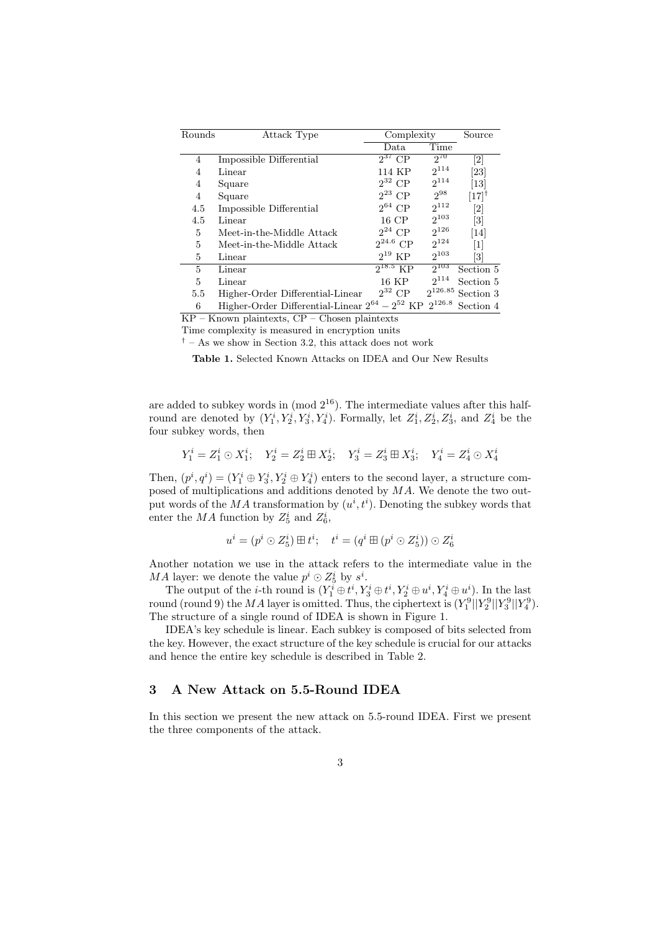| Rounds   | Attack Type                                           | Complexity    |              | Source                        |
|----------|-------------------------------------------------------|---------------|--------------|-------------------------------|
|          |                                                       | Data          | Time         |                               |
| 4        | Impossible Differential                               | $2^{37}$ CP   | $2^{70}$     | $\left\lceil 2 \right\rceil$  |
| 4        | Linear                                                | 114 KP        | $2^{114}$    | [23]                          |
| 4        | Square                                                | $2^{32}$ CP   | $2^{114}$    | $\left\lceil 13 \right\rceil$ |
| 4        | Square                                                | $2^{23}$ CP   | $2^{98}$     | $[17]^\dagger$                |
| 4.5      | Impossible Differential                               | $2^{64}$ CP   | $2^{112}$    | $\left\lceil 2 \right\rceil$  |
| 4.5      | Linear                                                | 16 CP         | $2^{103}$    | $\left\lceil 3 \right\rceil$  |
| 5        | Meet-in-the-Middle Attack                             | $2^{24}$ CP   | $2^{126}$    | $[14]$                        |
| 5        | Meet-in-the-Middle Attack                             | $2^{24.6}$ CP | $2^{124}$    | $\lceil 1 \rceil$             |
| 5        | Linear                                                | $2^{19}$ KP   | $2^{103}$    | $\left\lceil 3 \right\rceil$  |
| 5        | Linear                                                | $2^{18.5}$ KP | $2^{103}$    | Section 5                     |
| 5        | Linear                                                | $16$ KP       | $2^{114}$    | Section 5                     |
| 5.5      | Higher-Order Differential-Linear                      | $2^{32}$ CP   | $2^{126.85}$ | Section 3                     |
| 6<br>- - | Higher-Order Differential-Linear $2^{64} - 2^{52}$ KP |               | $2^{126.8}$  | Section 4                     |

KP – Known plaintexts, CP – Chosen plaintexts

Time complexity is measured in encryption units

 $\dagger$  – As we show in Section 3.2, this attack does not work

Table 1. Selected Known Attacks on IDEA and Our New Results

are added to subkey words in  $\pmod{2^{16}}$ . The intermediate values after this halfround are denoted by  $(Y_1^i, Y_2^i, Y_3^i, Y_4^i)$ . Formally, let  $Z_1^i, Z_2^i, Z_3^i$ , and  $Z_4^i$  be the four subkey words, then

$$
Y_1^i = Z_1^i \odot X_1^i; \quad Y_2^i = Z_2^i \boxplus X_2^i; \quad Y_3^i = Z_3^i \boxplus X_3^i; \quad Y_4^i = Z_4^i \odot X_4^i
$$

Then,  $(p^i, q^i) = (Y_1^i \oplus Y_3^i, Y_2^i \oplus Y_4^i)$  enters to the second layer, a structure composed of multiplications and additions denoted by  $MA$ . We denote the two output words of the MA transformation by  $(u^i, t^i)$ . Denoting the subkey words that enter the  $MA$  function by  $Z_5^i$  and  $Z_6^i$ ,

$$
u^i=(p^i\odot Z^i_5)\boxplus t^i;\quad t^i=(q^i\boxplus (p^i\odot Z^i_5))\odot Z^i_6
$$

Another notation we use in the attack refers to the intermediate value in the MA layer: we denote the value  $p^i \odot Z_5^i$  by  $s^i$ .

The output of the *i*-th round is  $(Y_1^i \oplus t^i, Y_3^i \oplus t^i, Y_2^i \oplus u^i, Y_4^i \oplus u^i)$ . In the last round (round 9) the MA layer is omitted. Thus, the ciphertext is  $(Y_1^9||Y_2^9||Y_3^9||Y_4^9)$ . The structure of a single round of IDEA is shown in Figure 1.

IDEA's key schedule is linear. Each subkey is composed of bits selected from the key. However, the exact structure of the key schedule is crucial for our attacks and hence the entire key schedule is described in Table 2.

## 3 A New Attack on 5.5-Round IDEA

In this section we present the new attack on 5.5-round IDEA. First we present the three components of the attack.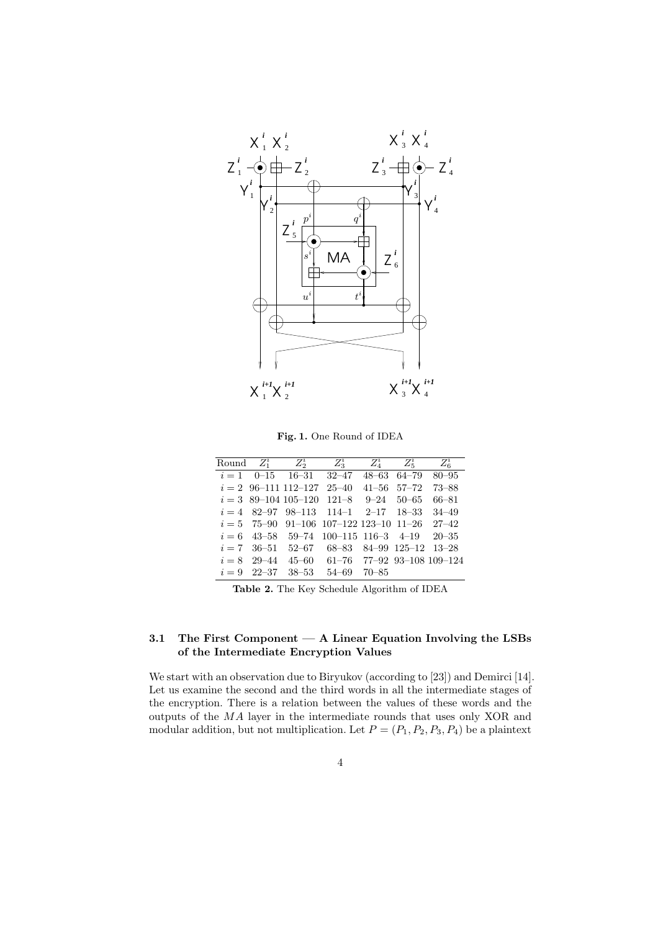

Fig. 1. One Round of IDEA

|  | Round $Z_1^i$ $Z_2^i$ $Z_3^i$ $Z_4^i$ $Z_5^i$ $Z_6^i$ |  |  |
|--|-------------------------------------------------------|--|--|
|  | $i=1$ 0-15 16-31 32-47 48-63 64-79 80-95              |  |  |
|  | $i = 2$ 96-111 112-127 25-40 41-56 57-72 73-88        |  |  |
|  | $i = 3$ 89-104 105-120 121-8 9-24 50-65 66-81         |  |  |
|  | $i = 4$ 82-97 98-113 114-1 2-17 18-33 34-49           |  |  |
|  | $i = 5$ 75-90 91-106 107-122 123-10 11-26 27-42       |  |  |
|  | $i = 6$ 43-58 59-74 100-115 116-3 4-19 20-35          |  |  |
|  | $i = 7$ 36-51 52-67 68-83 84-99 125-12 13-28          |  |  |
|  | $i = 8$ 29-44 45-60 61-76 77-92 93-108 109-124        |  |  |
|  | $i = 9$ 22-37 38-53 54-69 70-85                       |  |  |

Table 2. The Key Schedule Algorithm of IDEA

## 3.1 The First Component — A Linear Equation Involving the LSBs of the Intermediate Encryption Values

We start with an observation due to Biryukov (according to [23]) and Demirci [14]. Let us examine the second and the third words in all the intermediate stages of the encryption. There is a relation between the values of these words and the outputs of the MA layer in the intermediate rounds that uses only XOR and modular addition, but not multiplication. Let  $P = (P_1, P_2, P_3, P_4)$  be a plaintext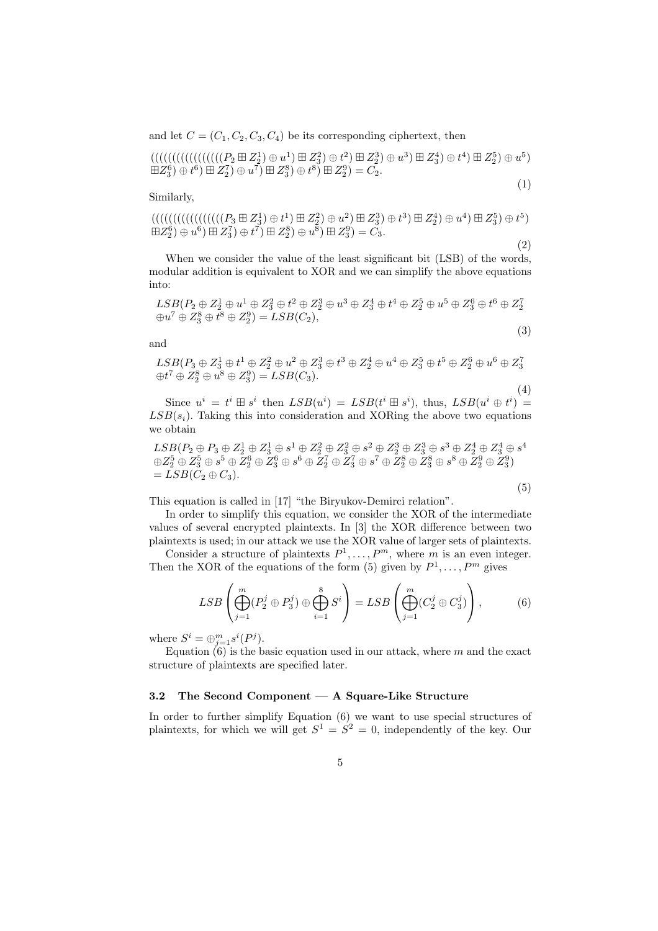and let  $C = (C_1, C_2, C_3, C_4)$  be its corresponding ciphertext, then

(((((((((((((((((P<sup>2</sup> ¢ Z 1 2 ) ⊕ u 1 ) ¢ Z 2 3 ) ⊕ t 2 ) ¢ Z 3 2 ) ⊕ u 3 ) ¢ Z 4 3 ) ⊕ t 4 ) ¢ Z 5 2 ) ⊕ u 5 ) ¢Z 6 3 ) ⊕ t 6 ) ¢ Z 7 2 ) ⊕ u 7 ) ¢ Z 8 3 ) ⊕ t 8 ) ¢ Z 9 2 ) = C2. (1)

Similarly,

(((((((((((((((((P<sup>3</sup> ¢ Z 1 3 ) ⊕ t 1 ) ¢ Z 2 2 ) ⊕ u 2 ) ¢ Z 3 3 ) ⊕ t 3 ) ¢ Z 4 2 ) ⊕ u 4 ) ¢ Z 5 3 ) ⊕ t 5 ) ¢Z 6 2 ) ⊕ u 6 ) ¢ Z 7 3 ) ⊕ t 7 ) ¢ Z 8 2 ) ⊕ u 8 ) ¢ Z 9 3 ) = C3. (2)

When we consider the value of the least significant bit (LSB) of the words, modular addition is equivalent to XOR and we can simplify the above equations into:

$$
LSB(P_2 \oplus Z_2^1 \oplus u^1 \oplus Z_3^2 \oplus t^2 \oplus Z_2^3 \oplus u^3 \oplus Z_3^4 \oplus t^4 \oplus Z_2^5 \oplus u^5 \oplus Z_3^6 \oplus t^6 \oplus Z_2^7
$$
  

$$
\oplus u^7 \oplus Z_3^8 \oplus t^8 \oplus Z_2^9) = LSB(C_2),
$$

and

$$
LSB(P_3 \oplus Z_3^1 \oplus t^1 \oplus Z_2^2 \oplus u^2 \oplus Z_3^3 \oplus t^3 \oplus Z_2^4 \oplus u^4 \oplus Z_3^5 \oplus t^5 \oplus Z_2^6 \oplus u^6 \oplus Z_3^7
$$
  

$$
\oplus t^7 \oplus Z_2^8 \oplus u^8 \oplus Z_3^9) = LSB(C_3).
$$

Since  $u^i = t^i \boxplus s^i$  then  $LSB(u^i) = LSB(t^i \boxplus s^i)$ , thus,  $LSB(u^i \oplus t^i) =$  $LSB(s<sub>i</sub>)$ . Taking this into consideration and XORing the above two equations we obtain

 $LSB(P_2 \oplus P_3 \oplus Z_2^1 \oplus Z_3^1 \oplus s^1 \oplus Z_2^2 \oplus Z_3^2 \oplus s^2 \oplus Z_2^3 \oplus Z_3^3 \oplus s^3 \oplus Z_2^4 \oplus Z_3^4 \oplus s^4$  $\oplus Z_2^5 \oplus Z_3^5 \oplus s^5 \oplus Z_2^6 \oplus Z_3^6 \oplus Z_2^7 \oplus Z_3^7 \oplus s^7 \oplus Z_2^8 \oplus Z_3^8 \oplus s^8 \oplus Z_2^9 \oplus Z_3^9)$  $= LSB(C_2 \oplus C_3).$ 

$$
\left( 5\right)
$$

(3)

(4)

This equation is called in [17] "the Biryukov-Demirci relation".

In order to simplify this equation, we consider the XOR of the intermediate values of several encrypted plaintexts. In [3] the XOR difference between two plaintexts is used; in our attack we use the XOR value of larger sets of plaintexts.

Consider a structure of plaintexts  $P^1, \ldots, P^m$ , where m is an even integer. Then the XOR of the equations of the form (5) given by  $P^1, \ldots, P^m$  gives

$$
LSB\left(\bigoplus_{j=1}^{m} (P_2^j \oplus P_3^j) \oplus \bigoplus_{i=1}^{8} S^i\right) = LSB\left(\bigoplus_{j=1}^{m} (C_2^j \oplus C_3^j)\right),\tag{6}
$$

where  $S^i = \bigoplus_{j=1}^m s^i(P^j)$ .

Equation  $(6)$  is the basic equation used in our attack, where m and the exact structure of plaintexts are specified later.

#### 3.2 The Second Component — A Square-Like Structure

In order to further simplify Equation (6) we want to use special structures of plaintexts, for which we will get  $S^1 = S^2 = 0$ , independently of the key. Our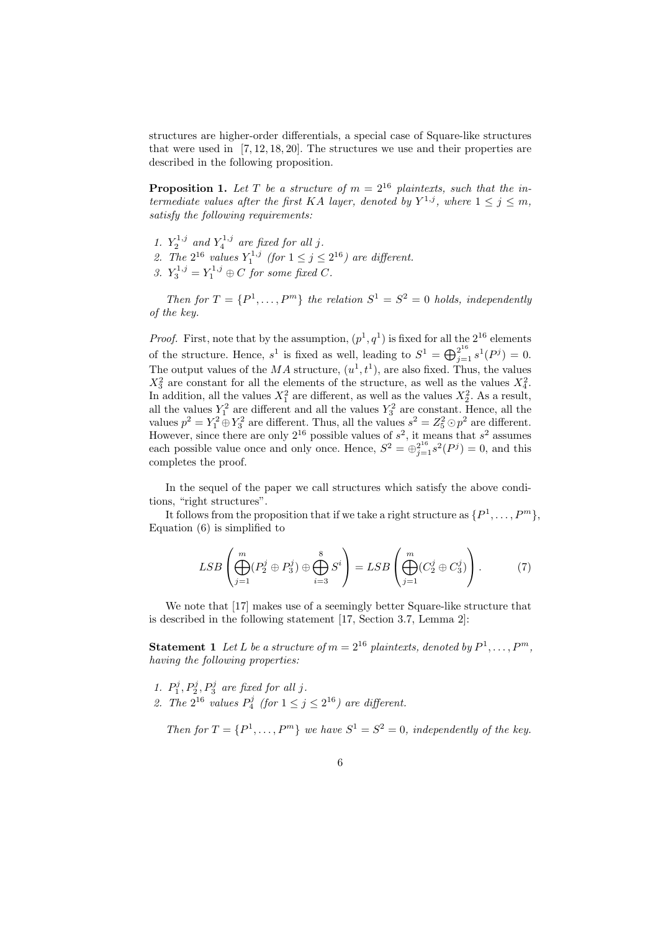structures are higher-order differentials, a special case of Square-like structures that were used in  $[7, 12, 18, 20]$ . The structures we use and their properties are described in the following proposition.

**Proposition 1.** Let T be a structure of  $m = 2^{16}$  plaintexts, such that the intermediate values after the first KA layer, denoted by  $Y^{1,j}$ , where  $1 \leq j \leq m$ , satisfy the following requirements:

- 1.  $Y_2^{1,j}$  and  $Y_4^{1,j}$  are fixed for all j.
- 2. The  $2^{16}$  values  $Y_1^{1,j}$  (for  $1 \leq j \leq 2^{16}$ ) are different.
- 3.  $Y_3^{1,j} = Y_1^{1,j} \oplus C$  for some fixed C.

Then for  $T = \{P^1, \ldots, P^m\}$  the relation  $S^1 = S^2 = 0$  holds, independently of the key.

*Proof.* First, note that by the assumption,  $(p^1, q^1)$  is fixed for all the  $2^{16}$  elements of the structure. Hence,  $s^1$  is fixed as well, leading to  $S^1 = \bigoplus_{j=1}^{2^{16}} s^1(P^j) = 0$ . The output values of the MA structure,  $(u^1, t^1)$ , are also fixed. Thus, the values  $X_3^2$  are constant for all the elements of the structure, as well as the values  $X_4^2$ . In addition, all the values  $X_1^2$  are different, as well as the values  $X_2^2$ . As a result, In addition, an the values  $X_1$  are different, as well as the values  $X_2$ . As a result, all the values  $Y_1^2$  are different and all the values  $Y_3^2$  are constant. Hence, all the values  $p^2 = Y_1^2 \oplus Y_3^2$  are different. Thus, all the values  $s^2 = Z_5^2 \odot p^2$  are different. However, since there are only  $2^{16}$  possible values of  $s^2$ , it means that  $s^2$  assumes each possible value once and only once. Hence,  $S^2 = \bigoplus_{j=1}^{2^{16}} s^2(P^j) = 0$ , and this completes the proof.

In the sequel of the paper we call structures which satisfy the above conditions, "right structures".

It follows from the proposition that if we take a right structure as  $\{P^1,\ldots,P^m\},\$ Equation (6) is simplified to

$$
LSB\left(\bigoplus_{j=1}^{m} (P_2^j \oplus P_3^j) \oplus \bigoplus_{i=3}^{8} S^i\right) = LSB\left(\bigoplus_{j=1}^{m} (C_2^j \oplus C_3^j)\right).
$$
 (7)

We note that [17] makes use of a seemingly better Square-like structure that is described in the following statement [17, Section 3.7, Lemma 2]:

**Statement 1** Let L be a structure of  $m = 2^{16}$  plaintexts, denoted by  $P^1, \ldots, P^m$ , having the following properties:

- 1.  $P_1^j$ ,  $P_2^j$ ,  $P_3^j$  are fixed for all j.
- 2. The  $2^{16}$  values  $P_4^j$  (for  $1 \le j \le 2^{16}$ ) are different.

Then for  $T = \{P^1, \ldots, P^m\}$  we have  $S^1 = S^2 = 0$ , independently of the key.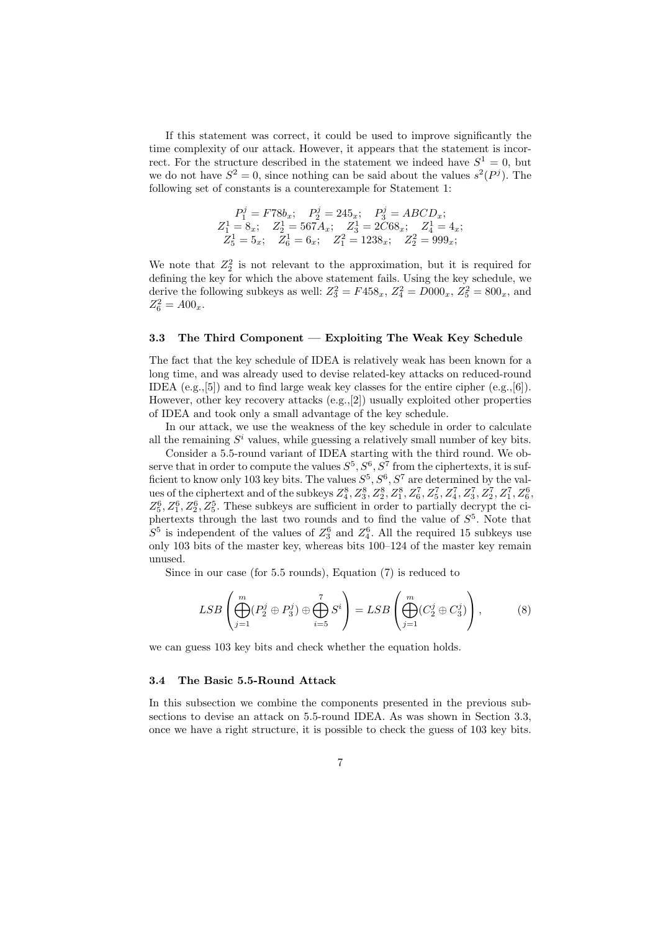If this statement was correct, it could be used to improve significantly the time complexity of our attack. However, it appears that the statement is incorrect. For the structure described in the statement we indeed have  $S^1 = 0$ , but we do not have  $S^2 = 0$ , since nothing can be said about the values  $s^2(P^j)$ . The following set of constants is a counterexample for Statement 1:

$$
\begin{array}{cccc}\nP_1^j = F78b_x; & P_2^j = 245_x; & P_3^j = ABCD_x; \\
Z_1^1 = 8_x; & Z_2^1 = 567A_x; & Z_3^1 = 2C68_x; & Z_4^1 = 4_x; \\
Z_5^1 = 5_x; & Z_6^1 = 6_x; & Z_1^2 = 1238_x; & Z_2^2 = 999_x;\n\end{array}
$$

We note that  $Z_2^2$  is not relevant to the approximation, but it is required for defining the key for which the above statement fails. Using the key schedule, we derive the following subkeys as well:  $Z_3^2 = F458_x$ ,  $Z_4^2 = D000_x$ ,  $Z_5^2 = 800_x$ , and  $Z_6^2 = A00_x.$ 

#### 3.3 The Third Component — Exploiting The Weak Key Schedule

The fact that the key schedule of IDEA is relatively weak has been known for a long time, and was already used to devise related-key attacks on reduced-round IDEA (e.g., [5]) and to find large weak key classes for the entire cipher  $(e.g., [6])$ . However, other key recovery attacks (e.g.,[2]) usually exploited other properties of IDEA and took only a small advantage of the key schedule.

In our attack, we use the weakness of the key schedule in order to calculate all the remaining  $S<sup>i</sup>$  values, while guessing a relatively small number of key bits.

Consider a 5.5-round variant of IDEA starting with the third round. We observe that in order to compute the values  $S^5, S^6, S^7$  from the ciphertexts, it is sufficient to know only 103 key bits. The values  $S^5, S^6, S^7$  are determined by the values of the ciphertext and of the subkeys  $Z_4^8$ ,  $Z_3^8$ ,  $Z_2^8$ ,  $Z_1^8$ ,  $Z_6^7$ ,  $Z_5^7$ ,  $Z_4^7$ ,  $Z_3^7$ ,  $Z_2^7$ ,  $Z_1^7$ ,  $Z_6^6$ ,  $Z_5^6, Z_1^6, Z_2^6, Z_5^5$ . These subkeys are sufficient in order to partially decrypt the ciphertexts through the last two rounds and to find the value of  $S^5$ . Note that  $S^5$  is independent of the values of  $Z_3^6$  and  $Z_4^6$ . All the required 15 subkeys use only 103 bits of the master key, whereas bits 100–124 of the master key remain unused.

Since in our case (for 5.5 rounds), Equation (7) is reduced to

$$
LSB\left(\bigoplus_{j=1}^{m} (P_2^j \oplus P_3^j) \oplus \bigoplus_{i=5}^{7} S^i\right) = LSB\left(\bigoplus_{j=1}^{m} (C_2^j \oplus C_3^j)\right),\tag{8}
$$

we can guess 103 key bits and check whether the equation holds.

#### 3.4 The Basic 5.5-Round Attack

In this subsection we combine the components presented in the previous subsections to devise an attack on 5.5-round IDEA. As was shown in Section 3.3, once we have a right structure, it is possible to check the guess of 103 key bits.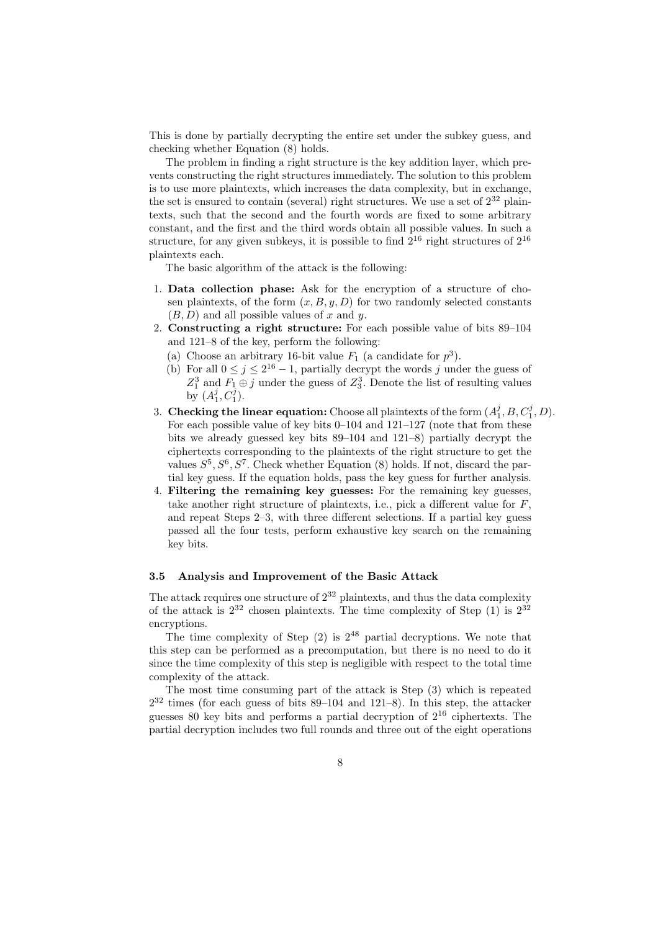This is done by partially decrypting the entire set under the subkey guess, and checking whether Equation (8) holds.

The problem in finding a right structure is the key addition layer, which prevents constructing the right structures immediately. The solution to this problem is to use more plaintexts, which increases the data complexity, but in exchange, the set is ensured to contain (several) right structures. We use a set of  $2^{32}$  plaintexts, such that the second and the fourth words are fixed to some arbitrary constant, and the first and the third words obtain all possible values. In such a structure, for any given subkeys, it is possible to find  $2^{16}$  right structures of  $2^{16}$ plaintexts each.

The basic algorithm of the attack is the following:

- 1. Data collection phase: Ask for the encryption of a structure of chosen plaintexts, of the form  $(x, B, y, D)$  for two randomly selected constants  $(B, D)$  and all possible values of x and y.
- 2. Constructing a right structure: For each possible value of bits 89–104 and 121–8 of the key, perform the following:
	- (a) Choose an arbitrary 16-bit value  $F_1$  (a candidate for  $p^3$ ).
	- (b) For all  $0 \le j \le 2^{16} 1$ , partially decrypt the words j under the guess of  $Z_1^3$  and  $F_1 \oplus j$  under the guess of  $Z_3^3$ . Denote the list of resulting values by  $(A_1^j, C_1^j)$ .
- 3. Checking the linear equation: Choose all plaintexts of the form  $(A_1^j, B, C_1^j, D)$ . For each possible value of key bits 0–104 and 121–127 (note that from these bits we already guessed key bits 89–104 and 121–8) partially decrypt the ciphertexts corresponding to the plaintexts of the right structure to get the values  $S^5$ ,  $S^6$ ,  $S^7$ . Check whether Equation (8) holds. If not, discard the partial key guess. If the equation holds, pass the key guess for further analysis.
- 4. Filtering the remaining key guesses: For the remaining key guesses, take another right structure of plaintexts, i.e., pick a different value for  $F$ , and repeat Steps 2–3, with three different selections. If a partial key guess passed all the four tests, perform exhaustive key search on the remaining key bits.

#### 3.5 Analysis and Improvement of the Basic Attack

The attack requires one structure of  $2^{32}$  plaintexts, and thus the data complexity of the attack is  $2^{32}$  chosen plaintexts. The time complexity of Step (1) is  $2^{32}$ encryptions.

The time complexity of Step  $(2)$  is  $2^{48}$  partial decryptions. We note that this step can be performed as a precomputation, but there is no need to do it since the time complexity of this step is negligible with respect to the total time complexity of the attack.

The most time consuming part of the attack is Step (3) which is repeated  $2^{32}$  times (for each guess of bits 89–104 and 121–8). In this step, the attacker guesses 80 key bits and performs a partial decryption of  $2^{16}$  ciphertexts. The partial decryption includes two full rounds and three out of the eight operations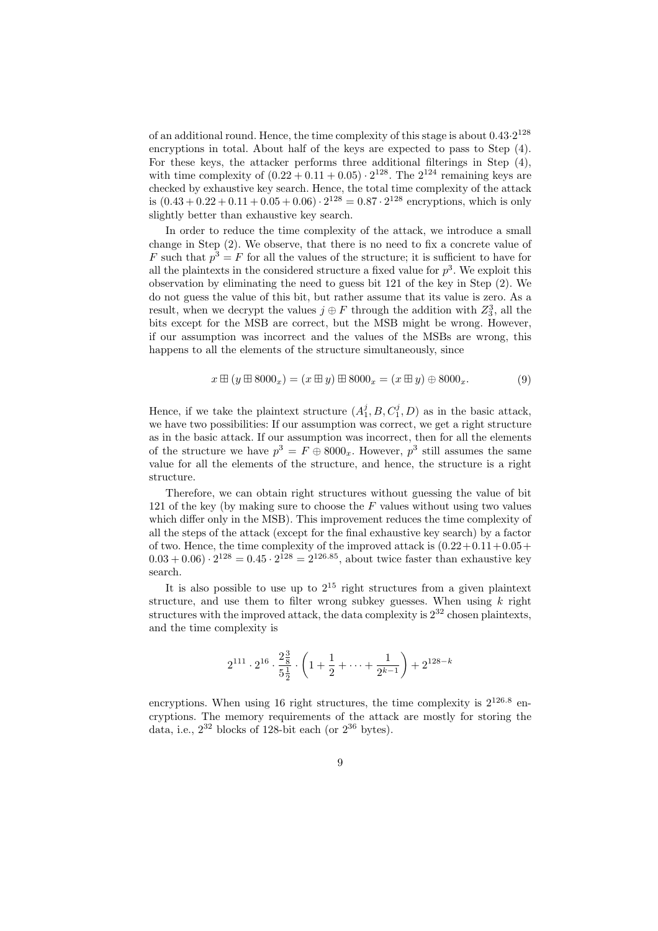of an additional round. Hence, the time complexity of this stage is about  $0.43 \cdot 2^{128}$ encryptions in total. About half of the keys are expected to pass to Step (4). For these keys, the attacker performs three additional filterings in Step (4), with time complexity of  $(0.22 + 0.11 + 0.05) \cdot 2^{128}$ . The  $2^{124}$  remaining keys are checked by exhaustive key search. Hence, the total time complexity of the attack is  $(0.43 + 0.22 + 0.11 + 0.05 + 0.06) \cdot 2^{128} = 0.87 \cdot 2^{128}$  encryptions, which is only slightly better than exhaustive key search.

In order to reduce the time complexity of the attack, we introduce a small change in Step (2). We observe, that there is no need to fix a concrete value of F such that  $p^3 = F$  for all the values of the structure; it is sufficient to have for all the plaintexts in the considered structure a fixed value for  $p^3$ . We exploit this observation by eliminating the need to guess bit 121 of the key in Step (2). We do not guess the value of this bit, but rather assume that its value is zero. As a result, when we decrypt the values  $j \oplus F$  through the addition with  $Z_3^3$ , all the bits except for the MSB are correct, but the MSB might be wrong. However, if our assumption was incorrect and the values of the MSBs are wrong, this happens to all the elements of the structure simultaneously, since

$$
x \boxplus (y \boxplus 8000_x) = (x \boxplus y) \boxplus 8000_x = (x \boxplus y) \oplus 8000_x. \tag{9}
$$

Hence, if we take the plaintext structure  $(A_1^j, B, C_1^j, D)$  as in the basic attack, we have two possibilities: If our assumption was correct, we get a right structure as in the basic attack. If our assumption was incorrect, then for all the elements of the structure we have  $p^3 = F \oplus 8000_x$ . However,  $p^3$  still assumes the same value for all the elements of the structure, and hence, the structure is a right structure.

Therefore, we can obtain right structures without guessing the value of bit 121 of the key (by making sure to choose the  $F$  values without using two values which differ only in the MSB). This improvement reduces the time complexity of all the steps of the attack (except for the final exhaustive key search) by a factor of two. Hence, the time complexity of the improved attack is  $(0.22+0.11+0.05+$  $(0.03 + 0.06) \cdot 2^{128} = 0.45 \cdot 2^{128} = 2^{126.85}$ , about twice faster than exhaustive key search.

It is also possible to use up to  $2^{15}$  right structures from a given plaintext structure, and use them to filter wrong subkey guesses. When using  $k$  right structures with the improved attack, the data complexity is  $2^{32}$  chosen plaintexts, and the time complexity is

$$
2^{111} \cdot 2^{16} \cdot \frac{2\frac{3}{8}}{5\frac{1}{2}} \cdot \left(1 + \frac{1}{2} + \dots + \frac{1}{2^{k-1}}\right) + 2^{128-k}
$$

encryptions. When using 16 right structures, the time complexity is  $2^{126.8}$  encryptions. The memory requirements of the attack are mostly for storing the data, i.e.,  $2^{32}$  blocks of 128-bit each (or  $2^{36}$  bytes).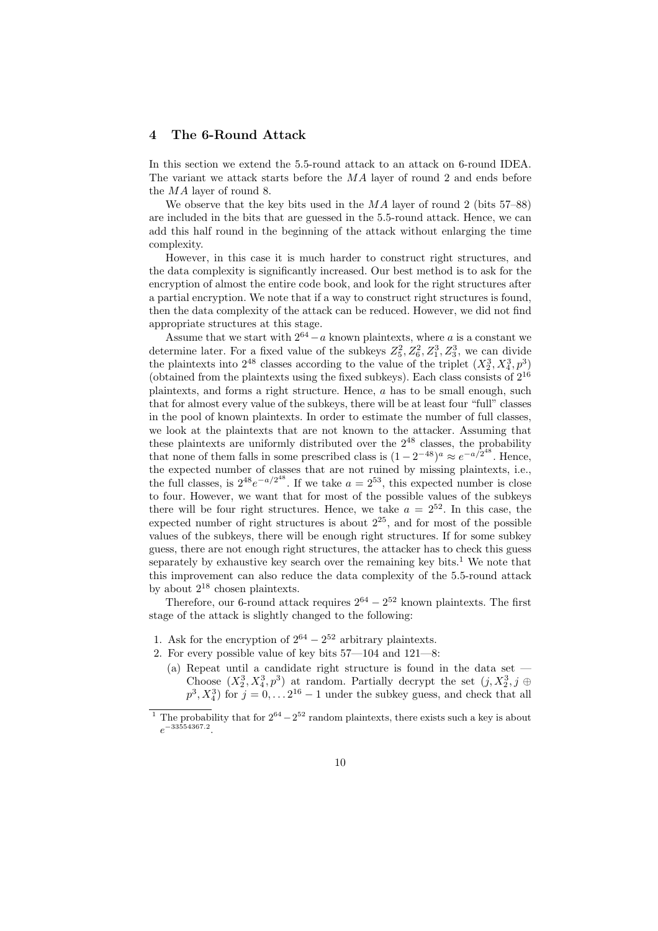## 4 The 6-Round Attack

In this section we extend the 5.5-round attack to an attack on 6-round IDEA. The variant we attack starts before the  $MA$  layer of round 2 and ends before the MA layer of round 8.

We observe that the key bits used in the  $MA$  layer of round 2 (bits 57–88) are included in the bits that are guessed in the 5.5-round attack. Hence, we can add this half round in the beginning of the attack without enlarging the time complexity.

However, in this case it is much harder to construct right structures, and the data complexity is significantly increased. Our best method is to ask for the encryption of almost the entire code book, and look for the right structures after a partial encryption. We note that if a way to construct right structures is found, then the data complexity of the attack can be reduced. However, we did not find appropriate structures at this stage.

Assume that we start with  $2^{64} - a$  known plaintexts, where a is a constant we determine later. For a fixed value of the subkeys  $Z_5^2, Z_6^2, Z_1^3, Z_3^3$ , we can divide the plaintexts into  $2^{48}$  classes according to the value of the triplet  $(X_2^3, X_4^3, p^3)$ (obtained from the plaintexts using the fixed subkeys). Each class consists of  $2^{16}$ plaintexts, and forms a right structure. Hence, a has to be small enough, such that for almost every value of the subkeys, there will be at least four "full" classes in the pool of known plaintexts. In order to estimate the number of full classes, we look at the plaintexts that are not known to the attacker. Assuming that these plaintexts are uniformly distributed over the  $2^{48}$  classes, the probability that none of them falls in some prescribed class is  $(1-2^{-48})^a \approx e^{-a/2^{48}}$ . Hence, the expected number of classes that are not ruined by missing plaintexts, i.e., the full classes, is  $2^{48}e^{-a/2^{48}}$ . If we take  $a = 2^{53}$ , this expected number is close to four. However, we want that for most of the possible values of the subkeys there will be four right structures. Hence, we take  $a = 2^{52}$ . In this case, the expected number of right structures is about  $2^{25}$ , and for most of the possible values of the subkeys, there will be enough right structures. If for some subkey guess, there are not enough right structures, the attacker has to check this guess separately by exhaustive key search over the remaining key bits.<sup>1</sup> We note that this improvement can also reduce the data complexity of the 5.5-round attack by about 2<sup>18</sup> chosen plaintexts.

Therefore, our 6-round attack requires  $2^{64} - 2^{52}$  known plaintexts. The first stage of the attack is slightly changed to the following:

- 1. Ask for the encryption of  $2^{64} 2^{52}$  arbitrary plaintexts.
- 2. For every possible value of key bits  $57-104$  and  $121-8$ :
	- (a) Repeat until a candidate right structure is found in the data set Choose  $(X_2^3, X_4^3, p^3)$  at random. Partially decrypt the set  $(j, X_2^3, j \oplus j)$  $p^3, X_4^3$ ) for  $j = 0, \ldots 2^{16} - 1$  under the subkey guess, and check that all

<sup>&</sup>lt;sup>1</sup> The probability that for  $2^{64} - 2^{52}$  random plaintexts, there exists such a key is about  $e^{-33554367.2}$ .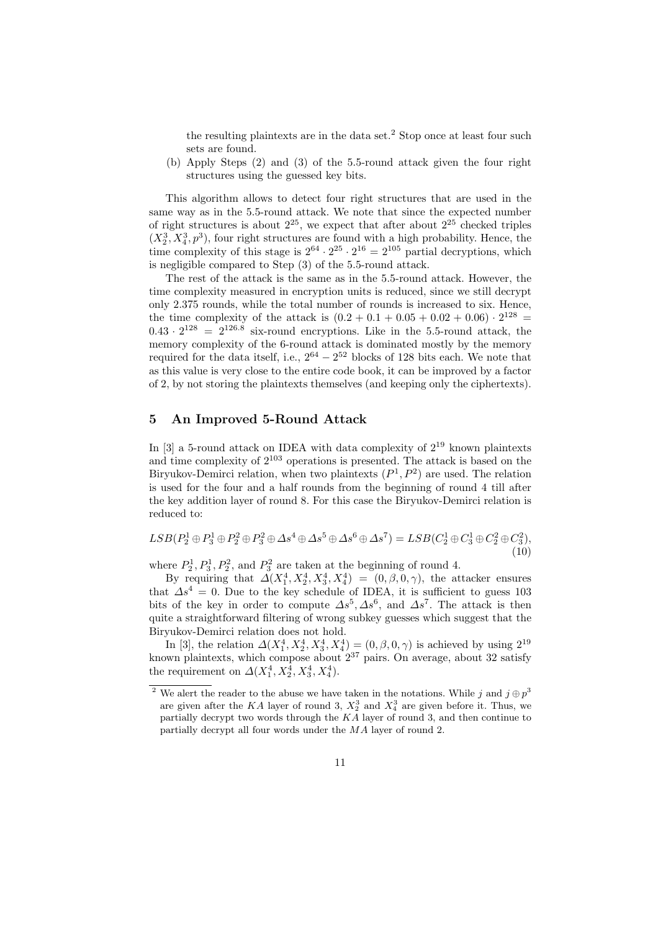the resulting plaintexts are in the data set.<sup>2</sup> Stop once at least four such sets are found.

(b) Apply Steps (2) and (3) of the 5.5-round attack given the four right structures using the guessed key bits.

This algorithm allows to detect four right structures that are used in the same way as in the 5.5-round attack. We note that since the expected number of right structures is about  $2^{25}$ , we expect that after about  $2^{25}$  checked triples  $(X_2^3, X_4^3, p^3)$ , four right structures are found with a high probability. Hence, the time complexity of this stage is  $2^{64} \cdot 2^{25} \cdot 2^{16} = 2^{105}$  partial decryptions, which is negligible compared to Step (3) of the 5.5-round attack.

The rest of the attack is the same as in the 5.5-round attack. However, the time complexity measured in encryption units is reduced, since we still decrypt only 2.375 rounds, while the total number of rounds is increased to six. Hence, the time complexity of the attack is  $(0.2 + 0.1 + 0.05 + 0.02 + 0.06) \cdot 2^{128}$  $0.43 \cdot 2^{128} = 2^{126.8}$  six-round encryptions. Like in the 5.5-round attack, the memory complexity of the 6-round attack is dominated mostly by the memory required for the data itself, i.e.,  $2^{64} - 2^{52}$  blocks of 128 bits each. We note that as this value is very close to the entire code book, it can be improved by a factor of 2, by not storing the plaintexts themselves (and keeping only the ciphertexts).

## 5 An Improved 5-Round Attack

In  $[3]$  a 5-round attack on IDEA with data complexity of  $2^{19}$  known plaintexts and time complexity of  $2^{103}$  operations is presented. The attack is based on the Biryukov-Demirci relation, when two plaintexts  $(P^1, P^2)$  are used. The relation is used for the four and a half rounds from the beginning of round 4 till after the key addition layer of round 8. For this case the Biryukov-Demirci relation is reduced to:

$$
LSB(P_2^1 \oplus P_3^1 \oplus P_2^2 \oplus P_3^2 \oplus \Delta s^4 \oplus \Delta s^5 \oplus \Delta s^6 \oplus \Delta s^7) = LSB(C_2^1 \oplus C_3^1 \oplus C_2^2 \oplus C_3^2),\tag{10}
$$

where  $P_2^1, P_3^1, P_2^2$ , and  $P_3^2$  are taken at the beginning of round 4.

By requiring that  $\Delta(X_1^4, X_2^4, X_3^4, X_4^4) = (0, \beta, 0, \gamma)$ , the attacker ensures that  $\Delta s^4 = 0$ . Due to the key schedule of IDEA, it is sufficient to guess 103 bits of the key in order to compute  $\Delta s^5, \Delta s^6$ , and  $\Delta s^7$ . The attack is then quite a straightforward filtering of wrong subkey guesses which suggest that the Biryukov-Demirci relation does not hold.

In [3], the relation  $\Delta(X_1^4, X_2^4, X_3^4, X_4^4) = (0, \beta, 0, \gamma)$  is achieved by using  $2^{19}$ known plaintexts, which compose about  $2^{37}$  pairs. On average, about 32 satisfy the requirement on  $\Delta(X_1^4, X_2^4, X_3^4, X_4^4)$ .

<sup>&</sup>lt;sup>2</sup> We alert the reader to the abuse we have taken in the notations. While j and  $j \oplus p^3$ are given after the KA layer of round 3,  $X_2^3$  and  $X_4^3$  are given before it. Thus, we partially decrypt two words through the KA layer of round 3, and then continue to partially decrypt all four words under the MA layer of round 2.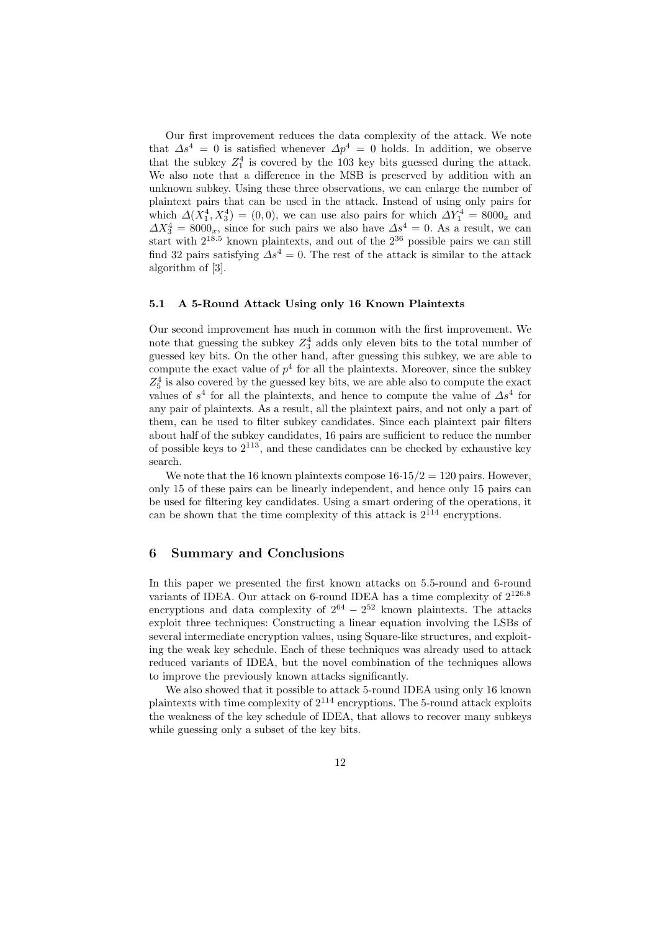Our first improvement reduces the data complexity of the attack. We note that  $\Delta s^4 = 0$  is satisfied whenever  $\Delta p^4 = 0$  holds. In addition, we observe that the subkey  $Z_1^4$  is covered by the 103 key bits guessed during the attack. We also note that a difference in the MSB is preserved by addition with an unknown subkey. Using these three observations, we can enlarge the number of plaintext pairs that can be used in the attack. Instead of using only pairs for which  $\Delta(X_1^4, X_3^4) = (0, 0)$ , we can use also pairs for which  $\Delta Y_1^4 = 8000_x$  and  $\Delta X_3^4 = 8000_x$ , since for such pairs we also have  $\Delta s^4 = 0$ . As a result, we can start with  $2^{18.5}$  known plaintexts, and out of the  $2^{36}$  possible pairs we can still find 32 pairs satisfying  $\Delta s^4 = 0$ . The rest of the attack is similar to the attack algorithm of [3].

#### 5.1 A 5-Round Attack Using only 16 Known Plaintexts

Our second improvement has much in common with the first improvement. We note that guessing the subkey  $Z_3^4$  adds only eleven bits to the total number of guessed key bits. On the other hand, after guessing this subkey, we are able to compute the exact value of  $p^4$  for all the plaintexts. Moreover, since the subkey  $\mathbb{Z}_5^4$  is also covered by the guessed key bits, we are able also to compute the exact values of  $s^4$  for all the plaintexts, and hence to compute the value of  $\Delta s^4$  for any pair of plaintexts. As a result, all the plaintext pairs, and not only a part of them, can be used to filter subkey candidates. Since each plaintext pair filters about half of the subkey candidates, 16 pairs are sufficient to reduce the number of possible keys to  $2^{113}$ , and these candidates can be checked by exhaustive key search.

We note that the 16 known plaintexts compose  $16.15/2 = 120$  pairs. However, only 15 of these pairs can be linearly independent, and hence only 15 pairs can be used for filtering key candidates. Using a smart ordering of the operations, it can be shown that the time complexity of this attack is  $2^{114}$  encryptions.

### 6 Summary and Conclusions

In this paper we presented the first known attacks on 5.5-round and 6-round variants of IDEA. Our attack on 6-round IDEA has a time complexity of 2<sup>126</sup>.<sup>8</sup> encryptions and data complexity of  $2^{64} - 2^{52}$  known plaintexts. The attacks exploit three techniques: Constructing a linear equation involving the LSBs of several intermediate encryption values, using Square-like structures, and exploiting the weak key schedule. Each of these techniques was already used to attack reduced variants of IDEA, but the novel combination of the techniques allows to improve the previously known attacks significantly.

We also showed that it possible to attack 5-round IDEA using only 16 known plaintexts with time complexity of 2<sup>114</sup> encryptions. The 5-round attack exploits the weakness of the key schedule of IDEA, that allows to recover many subkeys while guessing only a subset of the key bits.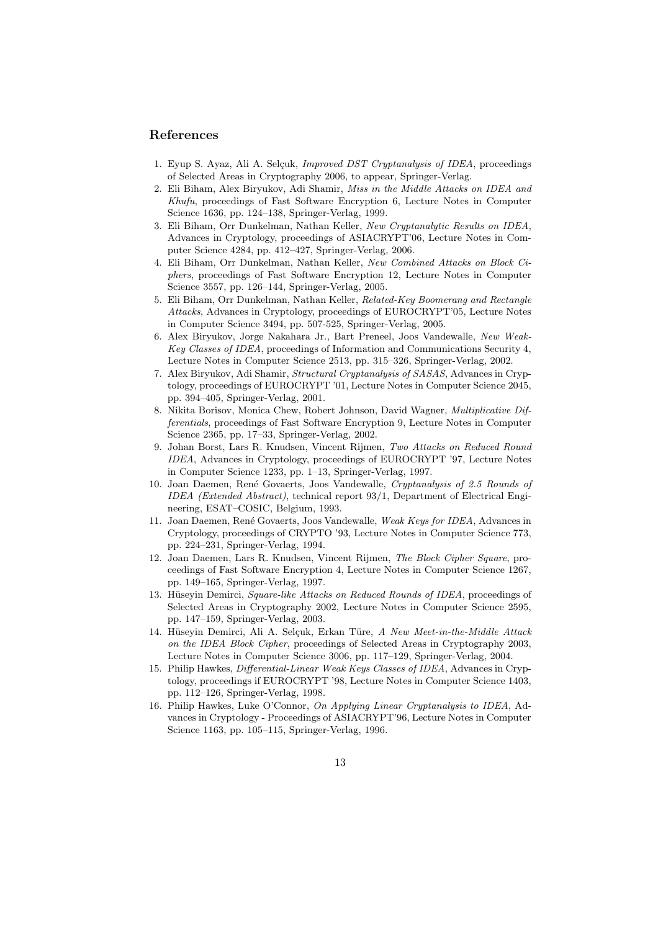## References

- 1. Eyup S. Ayaz, Ali A. Selçuk, *Improved DST Cryptanalysis of IDEA*, proceedings of Selected Areas in Cryptography 2006, to appear, Springer-Verlag.
- 2. Eli Biham, Alex Biryukov, Adi Shamir, Miss in the Middle Attacks on IDEA and Khufu, proceedings of Fast Software Encryption 6, Lecture Notes in Computer Science 1636, pp. 124–138, Springer-Verlag, 1999.
- 3. Eli Biham, Orr Dunkelman, Nathan Keller, New Cryptanalytic Results on IDEA, Advances in Cryptology, proceedings of ASIACRYPT'06, Lecture Notes in Computer Science 4284, pp. 412–427, Springer-Verlag, 2006.
- 4. Eli Biham, Orr Dunkelman, Nathan Keller, New Combined Attacks on Block Ciphers, proceedings of Fast Software Encryption 12, Lecture Notes in Computer Science 3557, pp. 126–144, Springer-Verlag, 2005.
- 5. Eli Biham, Orr Dunkelman, Nathan Keller, Related-Key Boomerang and Rectangle Attacks, Advances in Cryptology, proceedings of EUROCRYPT'05, Lecture Notes in Computer Science 3494, pp. 507-525, Springer-Verlag, 2005.
- 6. Alex Biryukov, Jorge Nakahara Jr., Bart Preneel, Joos Vandewalle, New Weak-Key Classes of IDEA, proceedings of Information and Communications Security 4, Lecture Notes in Computer Science 2513, pp. 315–326, Springer-Verlag, 2002.
- 7. Alex Biryukov, Adi Shamir, Structural Cryptanalysis of SASAS, Advances in Cryptology, proceedings of EUROCRYPT '01, Lecture Notes in Computer Science 2045, pp. 394–405, Springer-Verlag, 2001.
- 8. Nikita Borisov, Monica Chew, Robert Johnson, David Wagner, Multiplicative Differentials, proceedings of Fast Software Encryption 9, Lecture Notes in Computer Science 2365, pp. 17–33, Springer-Verlag, 2002.
- 9. Johan Borst, Lars R. Knudsen, Vincent Rijmen, Two Attacks on Reduced Round IDEA, Advances in Cryptology, proceedings of EUROCRYPT '97, Lecture Notes in Computer Science 1233, pp. 1–13, Springer-Verlag, 1997.
- 10. Joan Daemen, René Govaerts, Joos Vandewalle, Cryptanalysis of 2.5 Rounds of IDEA (Extended Abstract), technical report 93/1, Department of Electrical Engineering, ESAT–COSIC, Belgium, 1993.
- 11. Joan Daemen, René Govaerts, Joos Vandewalle, Weak Keys for IDEA, Advances in Cryptology, proceedings of CRYPTO '93, Lecture Notes in Computer Science 773, pp. 224–231, Springer-Verlag, 1994.
- 12. Joan Daemen, Lars R. Knudsen, Vincent Rijmen, The Block Cipher Square, proceedings of Fast Software Encryption 4, Lecture Notes in Computer Science 1267, pp. 149–165, Springer-Verlag, 1997.
- 13. Hüseyin Demirci, Square-like Attacks on Reduced Rounds of IDEA, proceedings of Selected Areas in Cryptography 2002, Lecture Notes in Computer Science 2595, pp. 147–159, Springer-Verlag, 2003.
- 14. Hüseyin Demirci, Ali A. Selçuk, Erkan Türe, A New Meet-in-the-Middle Attack on the IDEA Block Cipher, proceedings of Selected Areas in Cryptography 2003, Lecture Notes in Computer Science 3006, pp. 117–129, Springer-Verlag, 2004.
- 15. Philip Hawkes, Differential-Linear Weak Keys Classes of IDEA, Advances in Cryptology, proceedings if EUROCRYPT '98, Lecture Notes in Computer Science 1403, pp. 112–126, Springer-Verlag, 1998.
- 16. Philip Hawkes, Luke O'Connor, On Applying Linear Cryptanalysis to IDEA, Advances in Cryptology - Proceedings of ASIACRYPT'96, Lecture Notes in Computer Science 1163, pp. 105–115, Springer-Verlag, 1996.